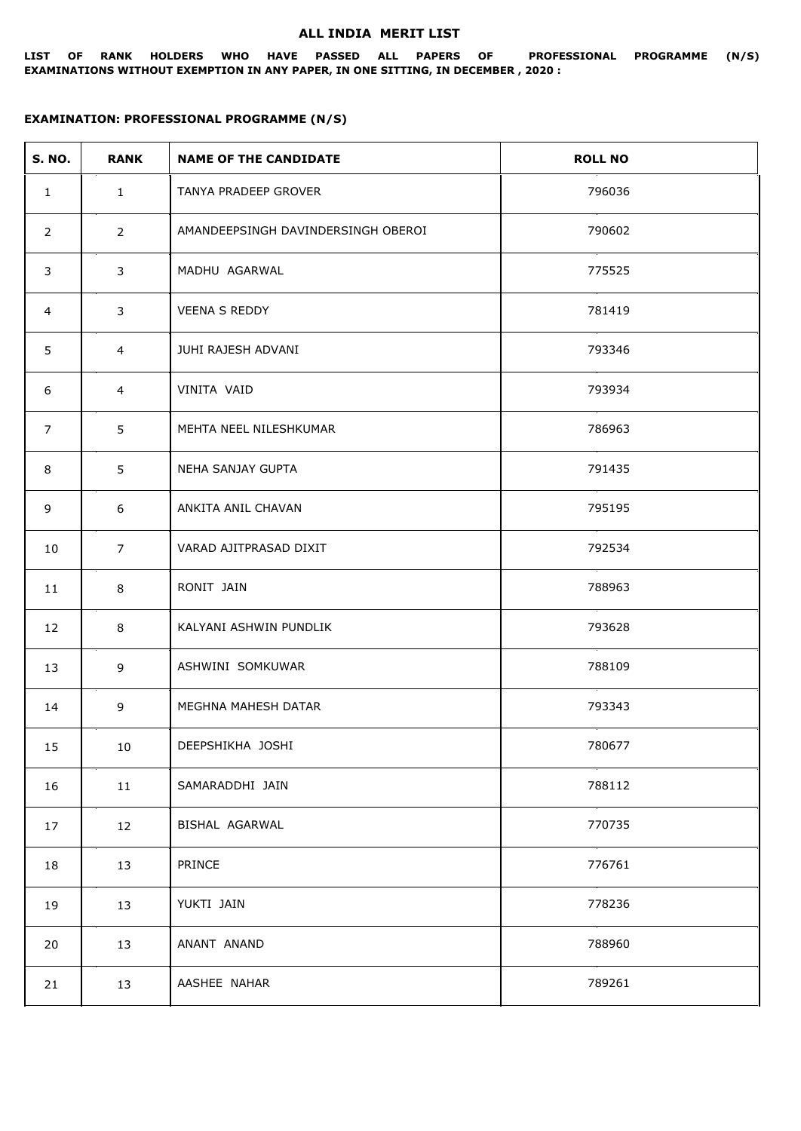## **ALL INDIA MERIT LIST**

**LIST OF RANK HOLDERS WHO HAVE PASSED ALL PAPERS OF PROFESSIONAL PROGRAMME (N/S) EXAMINATIONS WITHOUT EXEMPTION IN ANY PAPER, IN ONE SITTING, IN DECEMBER , 2020 :**

## **EXAMINATION: PROFESSIONAL PROGRAMME (N/S)**

| <b>S. NO.</b>  | <b>RANK</b>    | <b>NAME OF THE CANDIDATE</b>       | <b>ROLL NO</b> |
|----------------|----------------|------------------------------------|----------------|
| $\mathbf{1}$   | $\mathbf{1}$   | TANYA PRADEEP GROVER               | 796036         |
| $\overline{2}$ | $\overline{2}$ | AMANDEEPSINGH DAVINDERSINGH OBEROI | 790602         |
| 3              | 3              | MADHU AGARWAL                      | 775525         |
| 4              | 3              | <b>VEENA S REDDY</b>               | 781419         |
| 5              | $\overline{4}$ | JUHI RAJESH ADVANI                 | 793346         |
| 6              | 4              | VINITA VAID                        | 793934         |
| $\overline{7}$ | 5              | MEHTA NEEL NILESHKUMAR             | 786963         |
| 8              | 5              | NEHA SANJAY GUPTA                  | 791435         |
| 9              | 6              | ANKITA ANIL CHAVAN                 | 795195         |
| 10             | $\overline{7}$ | VARAD AJITPRASAD DIXIT             | 792534         |
| 11             | 8              | RONIT JAIN                         | 788963         |
| 12             | 8              | KALYANI ASHWIN PUNDLIK             | 793628         |
| 13             | 9              | ASHWINI SOMKUWAR                   | 788109         |
| 14             | 9              | MEGHNA MAHESH DATAR                | 793343         |
| 15             | 10             | DEEPSHIKHA JOSHI                   | 780677         |
| 16             | 11             | SAMARADDHI JAIN                    | 788112         |
| 17             | 12             | BISHAL AGARWAL                     | 770735         |
| 18             | 13             | PRINCE                             | 776761         |
| 19             | 13             | YUKTI JAIN                         | 778236         |
| 20             | 13             | ANANT ANAND                        | 788960         |
| 21             | 13             | AASHEE NAHAR                       | 789261         |